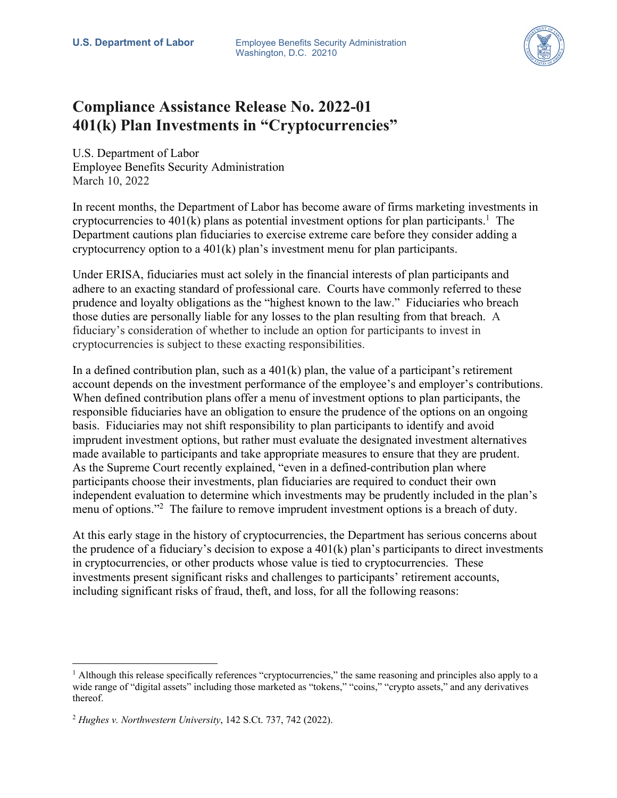

## **Compliance Assistance Release No. 2022-01 401(k) Plan Investments in "Cryptocurrencies"**

U.S. Department of Labor Employee Benefits Security Administration March 10, 2022

In recent months, the Department of Labor has become aware of firms marketing investments in cryptocurrencies to 401(k) plans as potential investment options for plan participants.<sup>1</sup> The Department cautions plan fiduciaries to exercise extreme care before they consider adding a cryptocurrency option to a 401(k) plan's investment menu for plan participants.

Under ERISA, fiduciaries must act solely in the financial interests of plan participants and adhere to an exacting standard of professional care. Courts have commonly referred to these prudence and loyalty obligations as the "highest known to the law." Fiduciaries who breach those duties are personally liable for any losses to the plan resulting from that breach. A fiduciary's consideration of whether to include an option for participants to invest in cryptocurrencies is subject to these exacting responsibilities.

In a defined contribution plan, such as a  $401(k)$  plan, the value of a participant's retirement account depends on the investment performance of the employee's and employer's contributions. When defined contribution plans offer a menu of investment options to plan participants, the responsible fiduciaries have an obligation to ensure the prudence of the options on an ongoing basis. Fiduciaries may not shift responsibility to plan participants to identify and avoid imprudent investment options, but rather must evaluate the designated investment alternatives made available to participants and take appropriate measures to ensure that they are prudent. As the Supreme Court recently explained, "even in a defined-contribution plan where participants choose their investments, plan fiduciaries are required to conduct their own independent evaluation to determine which investments may be prudently included in the plan's menu of options."<sup>2</sup> The failure to remove imprudent investment options is a breach of duty.

At this early stage in the history of cryptocurrencies, the Department has serious concerns about the prudence of a fiduciary's decision to expose a 401(k) plan's participants to direct investments in cryptocurrencies, or other products whose value is tied to cryptocurrencies. These investments present significant risks and challenges to participants' retirement accounts, including significant risks of fraud, theft, and loss, for all the following reasons:

 $<sup>1</sup>$  Although this release specifically references "cryptocurrencies," the same reasoning and principles also apply to a</sup> wide range of "digital assets" including those marketed as "tokens," "coins," "crypto assets," and any derivatives thereof.

<sup>2</sup> *Hughes v. Northwestern University*, 142 S.Ct. 737, 742 (2022).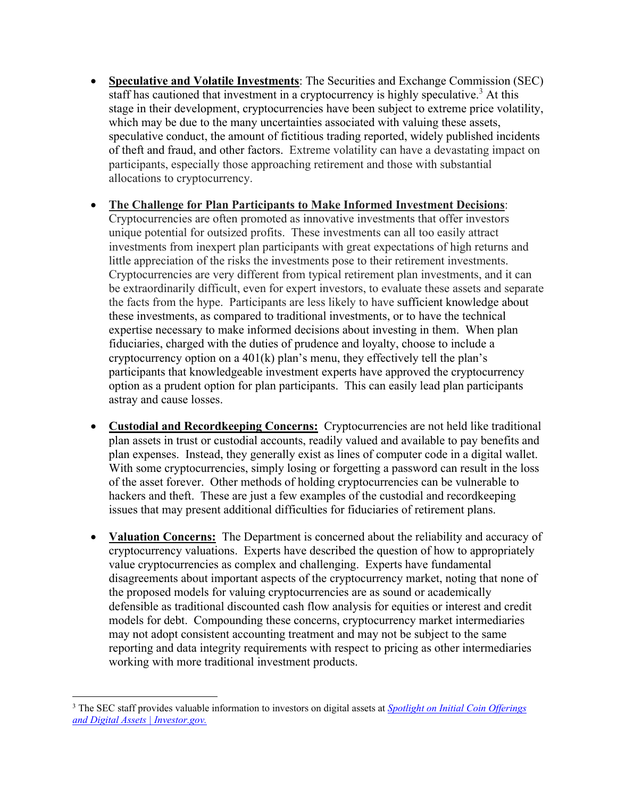• **Speculative and Volatile Investments**: The Securities and Exchange Commission (SEC) staff has cautioned that investment in a cryptocurrency is highly speculative.<sup>3</sup> At this stage in their development, cryptocurrencies have been subject to extreme price volatility, which may be due to the many uncertainties associated with valuing these assets, speculative conduct, the amount of fictitious trading reported, widely published incidents of theft and fraud, and other factors. Extreme volatility can have a devastating impact on participants, especially those approaching retirement and those with substantial allocations to cryptocurrency.

## • **The Challenge for Plan Participants to Make Informed Investment Decisions**:

Cryptocurrencies are often promoted as innovative investments that offer investors unique potential for outsized profits. These investments can all too easily attract investments from inexpert plan participants with great expectations of high returns and little appreciation of the risks the investments pose to their retirement investments. Cryptocurrencies are very different from typical retirement plan investments, and it can be extraordinarily difficult, even for expert investors, to evaluate these assets and separate the facts from the hype. Participants are less likely to have sufficient knowledge about these investments, as compared to traditional investments, or to have the technical expertise necessary to make informed decisions about investing in them. When plan fiduciaries, charged with the duties of prudence and loyalty, choose to include a cryptocurrency option on a  $401(k)$  plan's menu, they effectively tell the plan's participants that knowledgeable investment experts have approved the cryptocurrency option as a prudent option for plan participants. This can easily lead plan participants astray and cause losses.

- **Custodial and Recordkeeping Concerns:** Cryptocurrencies are not held like traditional plan assets in trust or custodial accounts, readily valued and available to pay benefits and plan expenses. Instead, they generally exist as lines of computer code in a digital wallet. With some cryptocurrencies, simply losing or forgetting a password can result in the loss of the asset forever. Other methods of holding cryptocurrencies can be vulnerable to hackers and theft. These are just a few examples of the custodial and recordkeeping issues that may present additional difficulties for fiduciaries of retirement plans.
- **Valuation Concerns:** The Department is concerned about the reliability and accuracy of cryptocurrency valuations. Experts have described the question of how to appropriately value cryptocurrencies as complex and challenging. Experts have fundamental disagreements about important aspects of the cryptocurrency market, noting that none of the proposed models for valuing cryptocurrencies are as sound or academically defensible as traditional discounted cash flow analysis for equities or interest and credit models for debt. Compounding these concerns, cryptocurrency market intermediaries may not adopt consistent accounting treatment and may not be subject to the same reporting and data integrity requirements with respect to pricing as other intermediaries working with more traditional investment products.

<sup>3</sup> The SEC staff provides valuable information to investors on digital assets at *[Spotlight on Initial Coin Offerings](https://www.investor.gov/additional-resources/spotlight/spotlight-initial-coin-offerings-and-digital-assets)  [and Digital Assets | Investor.gov.](https://www.investor.gov/additional-resources/spotlight/spotlight-initial-coin-offerings-and-digital-assets)*